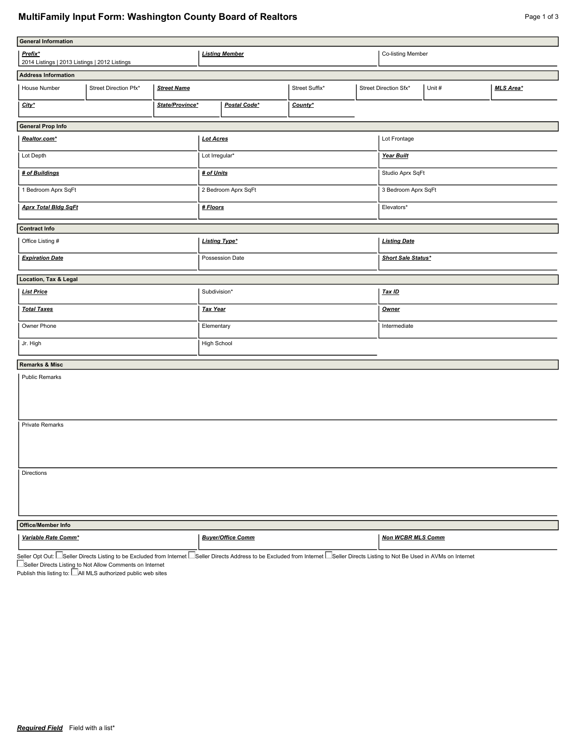## **MultiFamily Input Form: Washington County Board of Realtors Page 1 of 3** Page 1 of 3

| <b>General Information</b>                               |                       |                    |                       |                          |                |                       |                          |        |                  |  |
|----------------------------------------------------------|-----------------------|--------------------|-----------------------|--------------------------|----------------|-----------------------|--------------------------|--------|------------------|--|
|                                                          |                       |                    |                       |                          |                |                       |                          |        |                  |  |
| Prefix*<br>2014 Listings   2013 Listings   2012 Listings |                       |                    | <b>Listing Member</b> |                          |                |                       | Co-listing Member        |        |                  |  |
|                                                          |                       |                    |                       |                          |                |                       |                          |        |                  |  |
| <b>Address Information</b>                               |                       |                    |                       |                          |                |                       |                          |        |                  |  |
| House Number                                             | Street Direction Pfx* | <b>Street Name</b> |                       |                          | Street Suffix* | Street Direction Sfx* |                          | Unit # | <b>MLS Area*</b> |  |
| State/Province*<br>$City^*$                              |                       |                    |                       | Postal Code*<br>County*  |                |                       |                          |        |                  |  |
| <b>General Prop Info</b>                                 |                       |                    |                       |                          |                |                       |                          |        |                  |  |
| Realtor.com*                                             |                       |                    | <b>Lot Acres</b>      |                          |                |                       | Lot Frontage             |        |                  |  |
| Lot Depth                                                |                       |                    | Lot Irregular*        |                          |                |                       | Year Built               |        |                  |  |
| # of Buildings                                           |                       |                    | # of Units            |                          |                |                       | Studio Aprx SqFt         |        |                  |  |
| 1 Bedroom Aprx SqFt                                      |                       |                    | 2 Bedroom Aprx SqFt   |                          |                |                       | 3 Bedroom Aprx SqFt      |        |                  |  |
| <b>Aprx Total Bidg SqFt</b>                              |                       |                    | # Floors              |                          |                |                       | Elevators*               |        |                  |  |
| <b>Contract Info</b>                                     |                       |                    |                       |                          |                |                       |                          |        |                  |  |
| Office Listing #                                         |                       |                    | <b>Listing Type*</b>  |                          |                |                       | <b>Listing Date</b>      |        |                  |  |
| <b>Expiration Date</b>                                   |                       |                    | Possession Date       |                          |                |                       | Short Sale Status*       |        |                  |  |
| Location, Tax & Legal                                    |                       |                    |                       |                          |                |                       |                          |        |                  |  |
| <b>List Price</b>                                        |                       |                    |                       | Subdivision*             |                |                       |                          | Tax ID |                  |  |
| <b>Total Taxes</b>                                       |                       |                    | <b>Tax Year</b>       |                          |                |                       | <b>Owner</b>             |        |                  |  |
| Owner Phone                                              |                       |                    | Elementary            |                          |                |                       | Intermediate             |        |                  |  |
| Jr. High                                                 |                       |                    | High School           |                          |                |                       |                          |        |                  |  |
|                                                          |                       |                    |                       |                          |                |                       |                          |        |                  |  |
| <b>Remarks &amp; Misc</b>                                |                       |                    |                       |                          |                |                       |                          |        |                  |  |
| <b>Public Remarks</b>                                    |                       |                    |                       |                          |                |                       |                          |        |                  |  |
|                                                          |                       |                    |                       |                          |                |                       |                          |        |                  |  |
|                                                          |                       |                    |                       |                          |                |                       |                          |        |                  |  |
| Private Remarks                                          |                       |                    |                       |                          |                |                       |                          |        |                  |  |
|                                                          |                       |                    |                       |                          |                |                       |                          |        |                  |  |
|                                                          |                       |                    |                       |                          |                |                       |                          |        |                  |  |
| Directions                                               |                       |                    |                       |                          |                |                       |                          |        |                  |  |
|                                                          |                       |                    |                       |                          |                |                       |                          |        |                  |  |
|                                                          |                       |                    |                       |                          |                |                       |                          |        |                  |  |
| Office/Member Info                                       |                       |                    |                       |                          |                |                       |                          |        |                  |  |
| Variable Rate Comm*                                      |                       |                    |                       | <b>Buyer/Office Comm</b> |                |                       | <b>Non WCBR MLS Comm</b> |        |                  |  |

Seller Opt Out: L\_|Seller Directs Listing to be Excluded from Internet I\_\_|Seller Directs Address to be Excluded from Internet I\_\_|Seller Directs Listing to Not Be Used in AVMs on Internet

Seller Directs Listing to Not Allow Comments on Internet

Publish this listing to:  $\Box$  All MLS authorized public web sites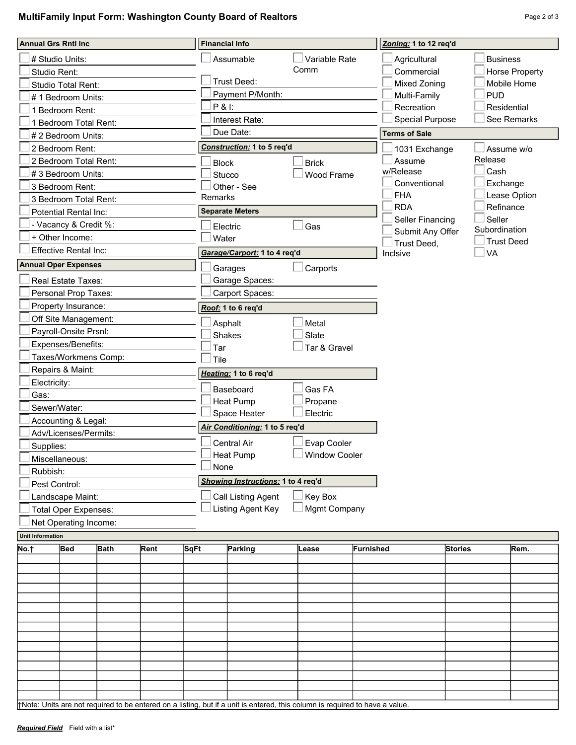## **MultiFamily Input Form: Washington County Board of Realtors Page 2 of 3** Page 2 of 3

| <b>Annual Grs Rntl Inc.</b>                          |                              |             |      | <b>Financial Info</b>                          | Zoning: 1 to 12 req'd          |                              |                          |                   |                           |             |  |
|------------------------------------------------------|------------------------------|-------------|------|------------------------------------------------|--------------------------------|------------------------------|--------------------------|-------------------|---------------------------|-------------|--|
|                                                      | # Studio Units:              |             |      | Variable Rate<br>Assumable                     |                                |                              | Agricultural             |                   | <b>Business</b>           |             |  |
| Studio Rent:                                         |                              |             |      | Comm                                           |                                | Commercial                   | <b>Horse Property</b>    |                   |                           |             |  |
|                                                      | Studio Total Rent:           |             |      |                                                | Trust Deed:                    |                              |                          | Mixed Zoning      |                           | Mobile Home |  |
| #1 Bedroom Units:                                    |                              |             |      | Payment P/Month:                               |                                | Multi-Family                 |                          | <b>PUD</b>        |                           |             |  |
| 1 Bedroom Rent:                                      |                              |             |      | P & I:                                         |                                | Recreation                   |                          | Residential       |                           |             |  |
| 1 Bedroom Total Rent:                                |                              |             |      | Interest Rate:                                 |                                | <b>Special Purpose</b>       |                          | See Remarks       |                           |             |  |
| # 2 Bedroom Units:                                   |                              |             |      | Due Date:                                      | <b>Terms of Sale</b>           |                              |                          |                   |                           |             |  |
| 2 Bedroom Rent:                                      |                              |             |      | Construction: 1 to 5 req'd                     |                                | 1031 Exchange                |                          | Assume w/o        |                           |             |  |
| 2 Bedroom Total Rent:                                |                              |             |      | <b>Block</b>                                   |                                | Assume                       | Release                  |                   |                           |             |  |
| #3 Bedroom Units:                                    |                              |             |      |                                                | <b>Stucco</b>                  | Wood Frame                   | w/Release                |                   | Cash                      |             |  |
| 3 Bedroom Rent:                                      |                              |             |      |                                                | Other - See                    |                              | Conventional<br>Exchange |                   |                           |             |  |
| 3 Bedroom Total Rent:                                |                              |             |      | Remarks                                        |                                |                              | <b>FHA</b><br><b>RDA</b> |                   | Lease Option<br>Refinance |             |  |
|                                                      | Potential Rental Inc:        |             |      |                                                | <b>Separate Meters</b>         |                              | Seller Financing         | Seller            |                           |             |  |
|                                                      | - Vacancy & Credit %:        |             |      |                                                | Electric                       |                              | Submit Any Offer         | Subordination     |                           |             |  |
|                                                      | + Other Income:              |             |      |                                                | Water                          |                              | Trust Deed,              | <b>Trust Deed</b> |                           |             |  |
|                                                      | <b>Effective Rental Inc:</b> |             |      |                                                | Garage/Carport: 1 to 4 req'd   |                              |                          | Inclsive          |                           | VA          |  |
| <b>Annual Oper Expenses</b>                          |                              |             |      |                                                | Garages                        | Carports                     |                          |                   |                           |             |  |
|                                                      | Real Estate Taxes:           |             |      |                                                | Garage Spaces:                 |                              |                          |                   |                           |             |  |
| Personal Prop Taxes:                                 |                              |             |      |                                                | Carport Spaces:                |                              |                          |                   |                           |             |  |
|                                                      | Property Insurance:          |             |      |                                                | Roof: 1 to 6 req'd             |                              |                          |                   |                           |             |  |
| Off Site Management:                                 |                              |             |      |                                                | Asphalt                        |                              |                          |                   |                           |             |  |
| Payroll-Onsite Prsnl:                                |                              |             |      |                                                | Metal<br>Shakes<br>Slate       |                              |                          |                   |                           |             |  |
| Expenses/Benefits:                                   |                              |             |      | Tar                                            |                                | Tar & Gravel                 |                          |                   |                           |             |  |
| Taxes/Workmens Comp:                                 |                              |             |      | Tile                                           |                                |                              |                          |                   |                           |             |  |
| Repairs & Maint:                                     |                              |             |      |                                                | Heating: 1 to 6 req'd          |                              |                          |                   |                           |             |  |
| Electricity:                                         |                              |             |      |                                                | Baseboard                      | Gas FA                       |                          |                   |                           |             |  |
| Gas:                                                 |                              |             |      |                                                | <b>Heat Pump</b>               |                              |                          |                   |                           |             |  |
| Sewer/Water:                                         |                              |             |      |                                                | Space Heater                   | Propane<br>Electric          |                          |                   |                           |             |  |
| Accounting & Legal:                                  |                              |             |      |                                                | Air Conditioning: 1 to 5 req'd |                              |                          |                   |                           |             |  |
| Adv/Licenses/Permits:                                |                              |             |      |                                                | Central Air                    |                              |                          |                   |                           |             |  |
| Supplies:                                            |                              |             |      |                                                | $\Box$ Heat Pump               | Evap Cooler<br>Window Cooler |                          |                   |                           |             |  |
| Miscellaneous:                                       |                              |             |      | None                                           |                                |                              |                          |                   |                           |             |  |
| Rubbish:                                             |                              |             |      | Showing Instructions: 1 to 4 req'd             |                                |                              |                          |                   |                           |             |  |
| Pest Control:                                        |                              |             |      |                                                |                                |                              |                          |                   |                           |             |  |
| Landscape Maint:                                     |                              |             |      | <b>Call Listing Agent</b><br>Listing Agent Key | Key Box<br>Mgmt Company        |                              |                          |                   |                           |             |  |
| <b>Total Oper Expenses:</b><br>Net Operating Income: |                              |             |      |                                                |                                |                              |                          |                   |                           |             |  |
| <b>Unit Information</b>                              |                              |             |      |                                                |                                |                              |                          |                   |                           |             |  |
| No.†                                                 | Bed                          | <b>Bath</b> | Rent | <b>SqFt</b>                                    | Parking                        | Lease                        | Furnished                |                   | <b>Stories</b>            | Rem.        |  |
|                                                      |                              |             |      |                                                |                                |                              |                          |                   |                           |             |  |
|                                                      |                              |             |      |                                                |                                |                              |                          |                   |                           |             |  |
|                                                      |                              |             |      |                                                |                                |                              |                          |                   |                           |             |  |
|                                                      |                              |             |      |                                                |                                |                              |                          |                   |                           |             |  |
|                                                      |                              |             |      |                                                |                                |                              |                          |                   |                           |             |  |
|                                                      |                              |             |      |                                                |                                |                              |                          |                   |                           |             |  |
|                                                      |                              |             |      |                                                |                                |                              |                          |                   |                           |             |  |
|                                                      |                              |             |      |                                                |                                |                              |                          |                   |                           |             |  |
|                                                      |                              |             |      |                                                |                                |                              |                          |                   |                           |             |  |
|                                                      |                              |             |      |                                                |                                |                              |                          |                   |                           |             |  |
|                                                      |                              |             |      |                                                |                                |                              |                          |                   |                           |             |  |

†Note: Units are not required to be entered on a listing, but if a unit is entered, this column is required to have a value.